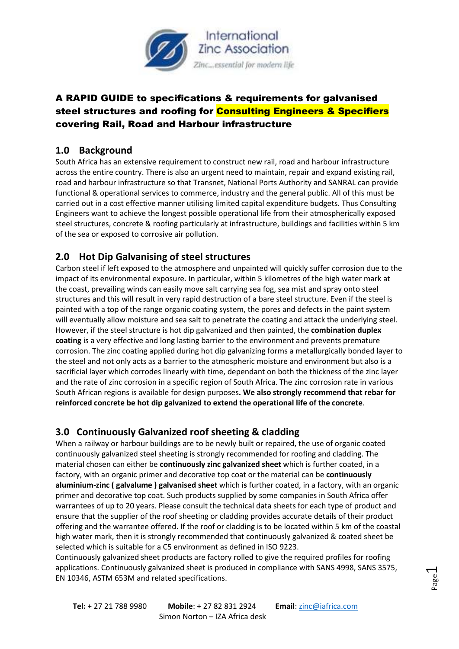

# A RAPID GUIDE to specifications & requirements for galvanised steel structures and roofing for Consulting Engineers & Specifiers covering Rail, Road and Harbour infrastructure

#### **1.0 Background**

South Africa has an extensive requirement to construct new rail, road and harbour infrastructure across the entire country. There is also an urgent need to maintain, repair and expand existing rail, road and harbour infrastructure so that Transnet, National Ports Authority and SANRAL can provide functional & operational services to commerce, industry and the general public. All of this must be carried out in a cost effective manner utilising limited capital expenditure budgets. Thus Consulting Engineers want to achieve the longest possible operational life from their atmospherically exposed steel structures, concrete & roofing particularly at infrastructure, buildings and facilities within 5 km of the sea or exposed to corrosive air pollution.

### **2.0 Hot Dip Galvanising of steel structures**

Carbon steel if left exposed to the atmosphere and unpainted will quickly suffer corrosion due to the impact of its environmental exposure. In particular, within 5 kilometres of the high water mark at the coast, prevailing winds can easily move salt carrying sea fog, sea mist and spray onto steel structures and this will result in very rapid destruction of a bare steel structure. Even if the steel is painted with a top of the range organic coating system, the pores and defects in the paint system will eventually allow moisture and sea salt to penetrate the coating and attack the underlying steel. However, if the steel structure is hot dip galvanized and then painted, the **combination duplex coating** is a very effective and long lasting barrier to the environment and prevents premature corrosion. The zinc coating applied during hot dip galvanizing forms a metallurgically bonded layer to the steel and not only acts as a barrier to the atmospheric moisture and environment but also is a sacrificial layer which corrodes linearly with time, dependant on both the thickness of the zinc layer and the rate of zinc corrosion in a specific region of South Africa. The zinc corrosion rate in various South African regions is available for design purposes**. We also strongly recommend that rebar for reinforced concrete be hot dip galvanized to extend the operational life of the concrete**.

### **3.0 Continuously Galvanized roof sheeting & cladding**

When a railway or harbour buildings are to be newly built or repaired, the use of organic coated continuously galvanized steel sheeting is strongly recommended for roofing and cladding. The material chosen can either be **continuously zinc galvanized sheet** which is further coated, in a factory, with an organic primer and decorative top coat or the material can be **continuously aluminium-zinc ( galvalume ) galvanised sheet** which i**s** further coated, in a factory, with an organic primer and decorative top coat. Such products supplied by some companies in South Africa offer warrantees of up to 20 years. Please consult the technical data sheets for each type of product and ensure that the supplier of the roof sheeting or cladding provides accurate details of their product offering and the warrantee offered. If the roof or cladding is to be located within 5 km of the coastal high water mark, then it is strongly recommended that continuously galvanized & coated sheet be selected which is suitable for a C5 environment as defined in ISO 9223.

Continuously galvanized sheet products are factory rolled to give the required profiles for roofing applications. Continuously galvanized sheet is produced in compliance with SANS 4998, SANS 3575, EN 10346, ASTM 653M and related specifications.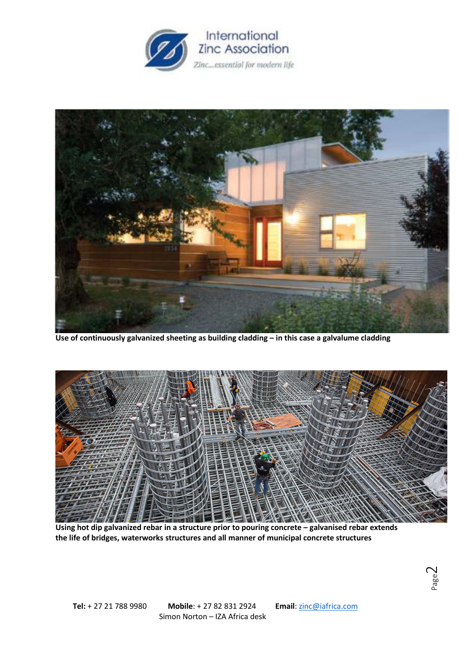



**Use of continuously galvanized sheeting as building cladding – in this case a galvalume cladding** 



**Using hot dip galvanized rebar in a structure prior to pouring concrete – galvanised rebar extends the life of bridges, waterworks structures and all manner of municipal concrete structures**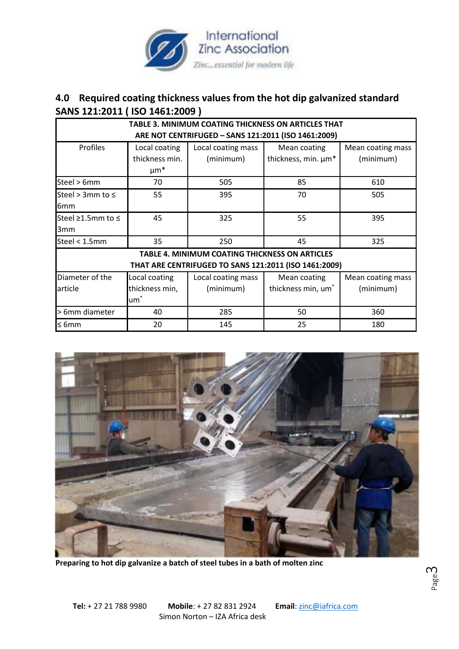

### **4.0 Required coating thickness values from the hot dip galvanized standard SANS 121:2011 ( ISO 1461:2009 )**

| <b>TABLE 3. MINIMUM COATING THICKNESS ON ARTICLES THAT</b> |                 |                    |                                |                   |
|------------------------------------------------------------|-----------------|--------------------|--------------------------------|-------------------|
| ARE NOT CENTRIFUGED - SANS 121:2011 (ISO 1461:2009)        |                 |                    |                                |                   |
| Profiles                                                   | Local coating   | Local coating mass | Mean coating                   | Mean coating mass |
|                                                            | thickness min.  | (minimum)          | thickness, min. µm*            | (minimum)         |
|                                                            | $\mu$ m*        |                    |                                |                   |
| Steel > 6mm                                                | 70              | 505                | 85                             | 610               |
| Steel > 3mm to $\leq$                                      | 55              | 395                | 70                             | 505               |
| 6 <sub>mm</sub>                                            |                 |                    |                                |                   |
| Steel ≥1.5mm to ≤                                          | 45              | 325                | 55                             | 395               |
| 3mm                                                        |                 |                    |                                |                   |
| Steel < 1.5mm                                              | 35              | 250                | 45                             | 325               |
| <b>TABLE 4. MINIMUM COATING THICKNESS ON ARTICLES</b>      |                 |                    |                                |                   |
| THAT ARE CENTRIFUGED TO SANS 121:2011 (ISO 1461:2009)      |                 |                    |                                |                   |
| Diameter of the                                            | Local coating   | Local coating mass | Mean coating                   | Mean coating mass |
| article                                                    | thickness min,  | (minimum)          | thickness min, um <sup>*</sup> | (minimum)         |
|                                                            | um <sup>-</sup> |                    |                                |                   |
| > 6mm diameter                                             | 40              | 285                | 50                             | 360               |
| $\leq 6$ mm                                                | 20              | 145                | 25                             | 180               |



**Preparing to hot dip galvanize a batch of steel tubes in a bath of molten zinc**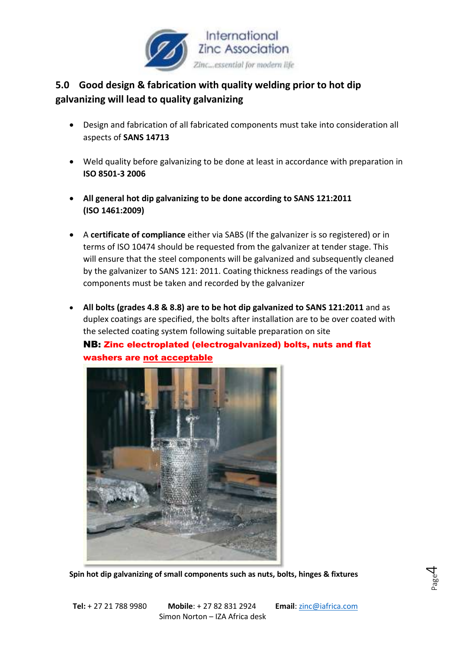

# **5.0 Good design & fabrication with quality welding prior to hot dip galvanizing will lead to quality galvanizing**

- Design and fabrication of all fabricated components must take into consideration all aspects of **SANS 14713**
- Weld quality before galvanizing to be done at least in accordance with preparation in **ISO 8501-3 2006**
- **All general hot dip galvanizing to be done according to SANS 121:2011 (ISO 1461:2009)**
- A **certificate of compliance** either via SABS (If the galvanizer is so registered) or in terms of ISO 10474 should be requested from the galvanizer at tender stage. This will ensure that the steel components will be galvanized and subsequently cleaned by the galvanizer to SANS 121: 2011. Coating thickness readings of the various components must be taken and recorded by the galvanizer
- **All bolts (grades 4.8 & 8.8) are to be hot dip galvanized to SANS 121:2011** and as duplex coatings are specified, the bolts after installation are to be over coated with the selected coating system following suitable preparation on site

#### NB: Zinc electroplated (electrogalvanized) bolts, nuts and flat washers are not acceptable



**Spin hot dip galvanizing of small components such as nuts, bolts, hinges & fixtures** 

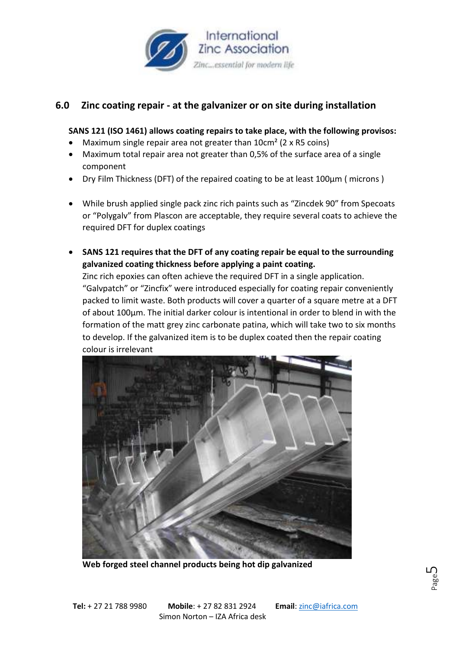

### **6.0 Zinc coating repair - at the galvanizer or on site during installation**

#### **SANS 121 (ISO 1461) allows coating repairs to take place, with the following provisos:**

- Maximum single repair area not greater than 10cm<sup>2</sup> (2 x R5 coins)
- Maximum total repair area not greater than 0,5% of the surface area of a single component
- Dry Film Thickness (DFT) of the repaired coating to be at least 100µm ( microns )
- While brush applied single pack zinc rich paints such as "Zincdek 90" from Specoats or "Polygalv" from Plascon are acceptable, they require several coats to achieve the required DFT for duplex coatings
- **SANS 121 requires that the DFT of any coating repair be equal to the surrounding galvanized coating thickness before applying a paint coating.**

Zinc rich epoxies can often achieve the required DFT in a single application. "Galvpatch" or "Zincfix" were introduced especially for coating repair conveniently packed to limit waste. Both products will cover a quarter of a square metre at a DFT of about 100µm. The initial darker colour is intentional in order to blend in with the formation of the matt grey zinc carbonate patina, which will take two to six months to develop. If the galvanized item is to be duplex coated then the repair coating colour is irrelevant



**Web forged steel channel products being hot dip galvanized**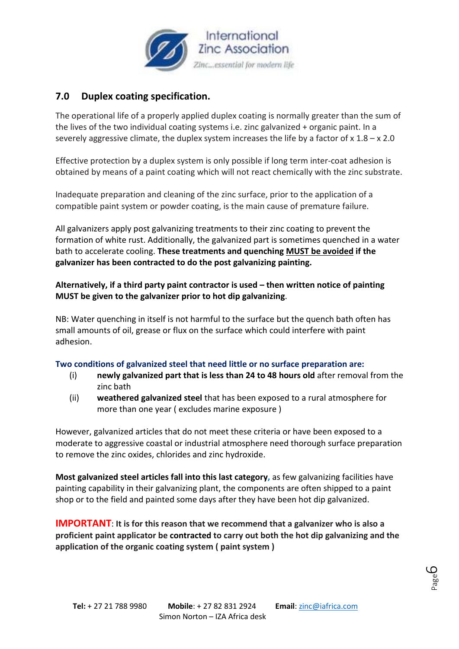

# **7.0 Duplex coating specification.**

The operational life of a properly applied duplex coating is normally greater than the sum of the lives of the two individual coating systems i.e. zinc galvanized + organic paint. In a severely aggressive climate, the duplex system increases the life by a factor of  $x \times 1.8 - x \times 2.0$ 

Effective protection by a duplex system is only possible if long term inter-coat adhesion is obtained by means of a paint coating which will not react chemically with the zinc substrate.

Inadequate preparation and cleaning of the zinc surface, prior to the application of a compatible paint system or powder coating, is the main cause of premature failure.

All galvanizers apply post galvanizing treatments to their zinc coating to prevent the formation of white rust. Additionally, the galvanized part is sometimes quenched in a water bath to accelerate cooling. **These treatments and quenching MUST be avoided if the galvanizer has been contracted to do the post galvanizing painting.**

**Alternatively, if a third party paint contractor is used – then written notice of painting MUST be given to the galvanizer prior to hot dip galvanizing**.

NB: Water quenching in itself is not harmful to the surface but the quench bath often has small amounts of oil, grease or flux on the surface which could interfere with paint adhesion.

#### **Two conditions of galvanized steel that need little or no surface preparation are:**

- (i) **newly galvanized part that is less than 24 to 48 hours old** after removal from the zinc bath
- (ii) **weathered galvanized steel** that has been exposed to a rural atmosphere for more than one year ( excludes marine exposure )

However, galvanized articles that do not meet these criteria or have been exposed to a moderate to aggressive coastal or industrial atmosphere need thorough surface preparation to remove the zinc oxides, chlorides and zinc hydroxide.

**Most galvanized steel articles fall into this last category,** as few galvanizing facilities have painting capability in their galvanizing plant, the components are often shipped to a paint shop or to the field and painted some days after they have been hot dip galvanized.

**IMPORTANT**: **It is for this reason that we recommend that a galvanizer who is also a proficient paint applicator be contracted to carry out both the hot dip galvanizing and the application of the organic coating system ( paint system )**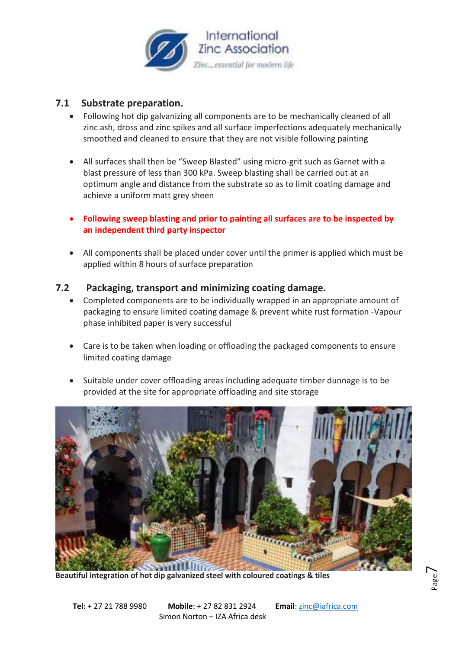

#### **7.1 Substrate preparation.**

- Following hot dip galvanizing all components are to be mechanically cleaned of all zinc ash, dross and zinc spikes and all surface imperfections adequately mechanically smoothed and cleaned to ensure that they are not visible following painting
- All surfaces shall then be "Sweep Blasted" using micro-grit such as Garnet with a blast pressure of less than 300 kPa. Sweep blasting shall be carried out at an optimum angle and distance from the substrate so as to limit coating damage and achieve a uniform matt grey sheen
- **Following sweep blasting and prior to painting all surfaces are to be inspected by an independent third party inspector**
- All components shall be placed under cover until the primer is applied which must be applied within 8 hours of surface preparation

#### **7.2 Packaging, transport and minimizing coating damage.**

- Completed components are to be individually wrapped in an appropriate amount of packaging to ensure limited coating damage & prevent white rust formation -Vapour phase inhibited paper is very successful
- Care is to be taken when loading or offloading the packaged components to ensure limited coating damage
- Suitable under cover offloading areas including adequate timber dunnage is to be provided at the site for appropriate offloading and site storage



**Beautiful integration of hot dip galvanized steel with coloured coatings & tiles**